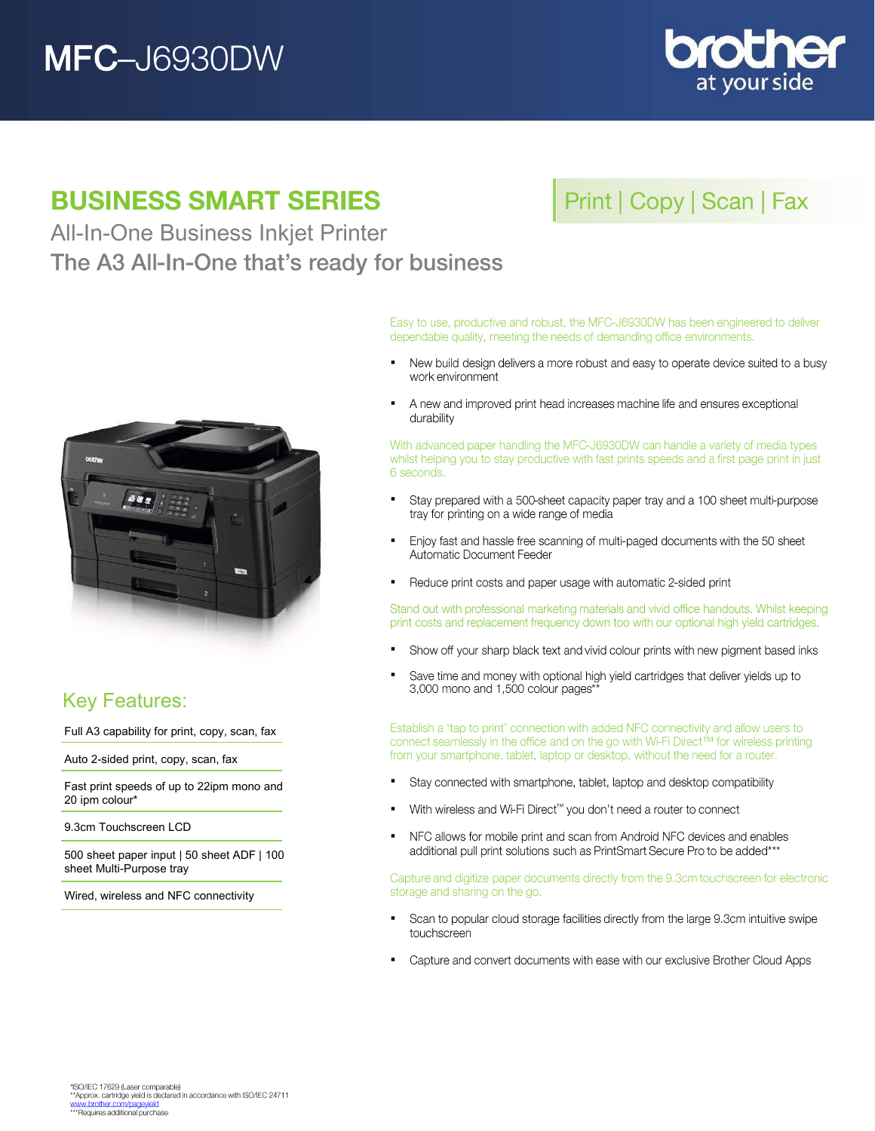# **MFC-J6930DW**



## **BUSINESS SMART SERIES**

## All-In-One Business Inkjet Printer The A3 All-In-One that's ready for business





## Key Features:

Full A3 capability for print, copy, scan, fax

Auto 2-sided print, copy, scan, fax

Fast print speeds of up to 22ipm mono and 20 ipm colour\*

9.3cm Touchscreen LCD

500 sheet paper input | 50 sheet ADF | 100 sheet Multi-Purpose tray

Wired, wireless and NFC connectivity

Easy to use, productive and robust, the MFC-J6930DW has been engineered to deliver dependable quality, meeting the needs of demanding office environments.

- New build design delivers a more robust and easy to operate device suited to a busy . work environment
- A new and improved print head increases machine life and ensures exceptional  $\blacksquare$ durability

With advanced paper handling the MFC-J6930DW can handle a variety of media types whilst helping you to stay productive with fast prints speeds and a first page print in just 6 seconds.

- $\blacksquare$ Stay prepared with a 500-sheet capacity paper tray and a 100 sheet multi-purpose tray for printing on a wide range of media
- Enjoy fast and hassle free scanning of multi-paged documents with the 50 sheet . Automatic Document Feeder
- Reduce print costs and paper usage with automatic 2-sided print  $\blacksquare$

Stand out with professional marketing materials and vivid office handouts. Whilst keeping print costs and replacement frequency down too with our optional high yield cartridges.

- $\blacksquare$ Show off your sharp black text and vivid colour prints with new pigment based inks
- Save time and money with optional high yield cartridges that deliver yields up to . 3,000 mono and 1,500 colour pages\*

Establish a 'tap to print' connection with added NFC connectivity and allow users to connect seamlessly in the office and on the go with Wi-Fi Direct™ for wireless printing from your smartphone, tablet, laptop or desktop, without the need for a router.

- Stay connected with smartphone, tablet, laptop and desktop compatibility .
- With wireless and Wi-Fi Direct™ you don't need a router to connect  $\blacksquare$
- NFC allows for mobile print and scan from Android NFC devices and enables  $\blacksquare$ additional pull print solutions such as PrintSmart Secure Pro to be added\*\*\*

Capture and digitize paper documents directly from the 9.3cm touchscreen for electronic storage and sharing on the go.

- Scan to popular cloud storage facilities directly from the large 9.3cm intuitive swipe . touchscreen
- Capture and convert documents with ease with our exclusive Brother Cloud Apps  $\blacksquare$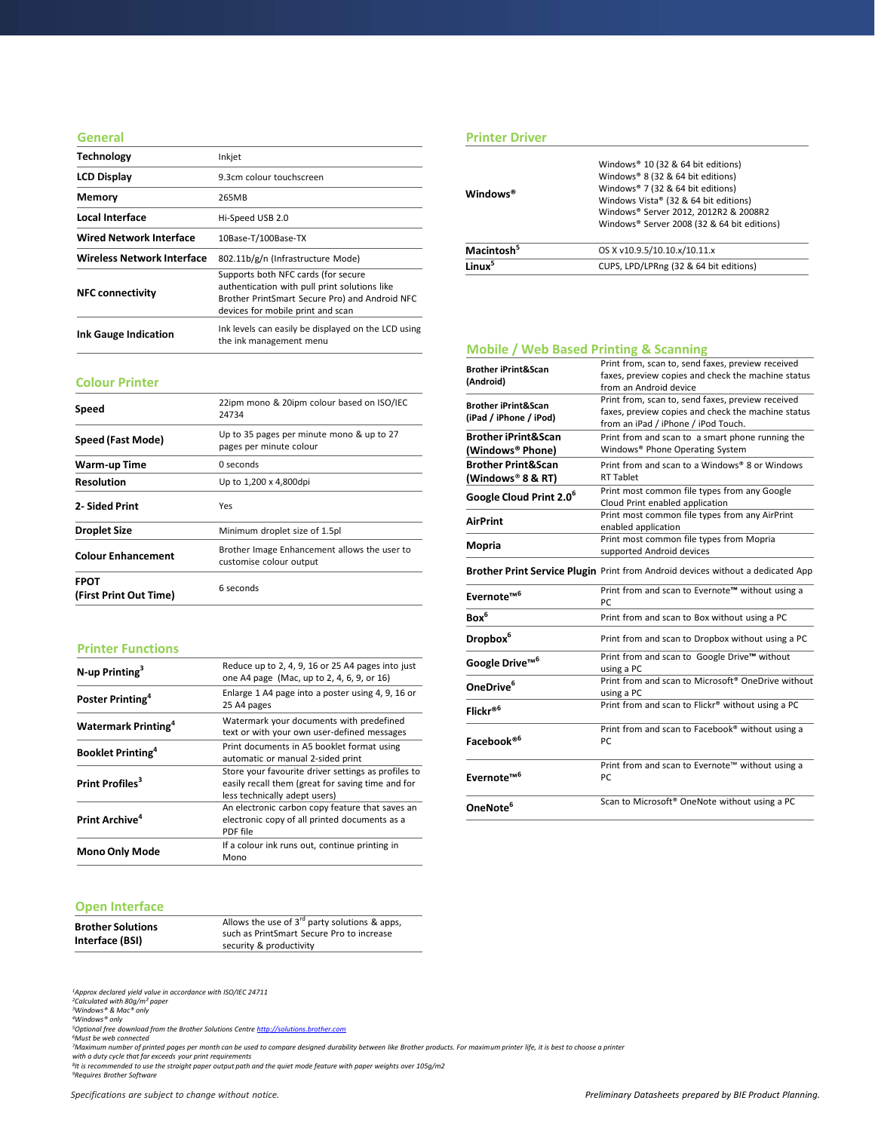### **General**

| <b>Technology</b>                 | Inkjet                                                                                                                                                                      |
|-----------------------------------|-----------------------------------------------------------------------------------------------------------------------------------------------------------------------------|
| <b>LCD Display</b>                | 9.3cm colour touchscreen                                                                                                                                                    |
| <b>Memory</b>                     | 265MB                                                                                                                                                                       |
| Local Interface                   | Hi-Speed USB 2.0                                                                                                                                                            |
| <b>Wired Network Interface</b>    | 10Base-T/100Base-TX                                                                                                                                                         |
| <b>Wireless Network Interface</b> | 802.11b/g/n (Infrastructure Mode)                                                                                                                                           |
| <b>NFC connectivity</b>           | Supports both NFC cards (for secure<br>authentication with pull print solutions like<br>Brother PrintSmart Secure Pro) and Android NFC<br>devices for mobile print and scan |
| <b>Ink Gauge Indication</b>       | Ink levels can easily be displayed on the LCD using<br>the ink management menu                                                                                              |

### **Colour Printer**

| Speed                                 | 22ipm mono & 20ipm colour based on ISO/IEC<br>24734                     |
|---------------------------------------|-------------------------------------------------------------------------|
| Speed (Fast Mode)                     | Up to 35 pages per minute mono & up to 27<br>pages per minute colour    |
| Warm-up Time                          | 0 seconds                                                               |
| <b>Resolution</b>                     | Up to 1,200 x 4,800dpi                                                  |
| 2- Sided Print                        | Yes                                                                     |
| <b>Droplet Size</b>                   | Minimum droplet size of 1.5pl                                           |
| <b>Colour Enhancement</b>             | Brother Image Enhancement allows the user to<br>customise colour output |
| <b>FPOT</b><br>(First Print Out Time) | 6 seconds                                                               |

### **Printer Functions**

| $N$ -up Printing <sup>3</sup>          | Reduce up to 2, 4, 9, 16 or 25 A4 pages into just<br>one A4 page (Mac, up to 2, 4, 6, 9, or 16)                                           |
|----------------------------------------|-------------------------------------------------------------------------------------------------------------------------------------------|
| Poster Printing <sup>4</sup>           | Enlarge 1 A4 page into a poster using 4, 9, 16 or<br>25 A4 pages                                                                          |
| <b>Watermark Printing</b> <sup>4</sup> | Watermark your documents with predefined<br>text or with your own user-defined messages                                                   |
| <b>Booklet Printing</b> <sup>4</sup>   | Print documents in A5 booklet format using<br>automatic or manual 2-sided print                                                           |
| Print Profiles <sup>3</sup>            | Store your favourite driver settings as profiles to<br>easily recall them (great for saving time and for<br>less technically adept users) |
| Print Archive <sup>4</sup>             | An electronic carbon copy feature that saves an<br>electronic copy of all printed documents as a<br>PDF file                              |
| <b>Mono Only Mode</b>                  | If a colour ink runs out, continue printing in<br>Mono                                                                                    |

### **Open Interface**

| Allows the use of $3^{rd}$ party solutions & apps,<br><b>Brother Solutions</b>          |  |
|-----------------------------------------------------------------------------------------|--|
| such as PrintSmart Secure Pro to increase<br>Interface (BSI)<br>security & productivity |  |

*<sup>1</sup>Approx declared yield value in accordance with ISO/IEC 24711 <sup>2</sup>Calculated with 80g/m² paper <sup>3</sup>Windows® & Mac® only*

<sup>4</sup>Windows® only<br><sup>5</sup>Optional free download from the Brother Solutions Centre <u>[http://solutions.brother.com](http://solutions.brother.com/)</u><br><sup>5</sup>Must be web connected<br><sup>7</sup>Maximum number of printed pages per month can be used to compare designed durability b

### **Printer Driver**

| Macintosh <sup>5</sup><br>OS X v10.9.5/10.10.x/10.11.x       |  |
|--------------------------------------------------------------|--|
| linux <sup>5</sup><br>CUPS, LPD/LPRng (32 & 64 bit editions) |  |

### **Mobile / Web Based Printing & Scanning**

| <b>Brother iPrint&amp;Scan</b><br>(Android)              | Print from, scan to, send faxes, preview received<br>faxes, preview copies and check the machine status<br>from an Android device              |
|----------------------------------------------------------|------------------------------------------------------------------------------------------------------------------------------------------------|
| <b>Brother iPrint&amp;Scan</b><br>(iPad / iPhone / iPod) | Print from, scan to, send faxes, preview received<br>faxes, preview copies and check the machine status<br>from an iPad / iPhone / iPod Touch. |
| <b>Brother iPrint&amp;Scan</b><br>(Windows® Phone)       | Print from and scan to a smart phone running the<br>Windows® Phone Operating System                                                            |
| <b>Brother Print&amp;Scan</b><br>(Windows® 8 & RT)       | Print from and scan to a Windows® 8 or Windows<br><b>RT Tablet</b>                                                                             |
| Google Cloud Print 2.0 <sup>6</sup>                      | Print most common file types from any Google<br>Cloud Print enabled application                                                                |
| <b>AirPrint</b>                                          | Print most common file types from any AirPrint<br>enabled application                                                                          |
| Mopria                                                   | Print most common file types from Mopria<br>supported Android devices                                                                          |
|                                                          | Brother Print Service Plugin Print from Android devices without a dedicated App                                                                |
| Evernote <sup>™6</sup>                                   | Print from and scan to Evernote™ without using a<br>PC.                                                                                        |
| Box <sup>6</sup>                                         | Print from and scan to Box without using a PC                                                                                                  |
| Dropbox <sup>6</sup>                                     | Print from and scan to Dropbox without using a PC                                                                                              |
| Google Drive <sup>™6</sup>                               | Print from and scan to Google Drive™ without<br>using a PC                                                                                     |
| OneDrive <sup>6</sup>                                    | Print from and scan to Microsoft <sup>®</sup> OneDrive without<br>using a PC                                                                   |
| Flickr® <sup>6</sup>                                     | Print from and scan to Flickr® without using a PC                                                                                              |
| Facebook® <sup>6</sup>                                   | Print from and scan to Facebook® without using a<br>PC.                                                                                        |
| Evernote <sup>™6</sup>                                   | Print from and scan to Evernote™ without using a<br>PC                                                                                         |
| OneNote <sup>6</sup>                                     | Scan to Microsoft <sup>®</sup> OneNote without using a PC                                                                                      |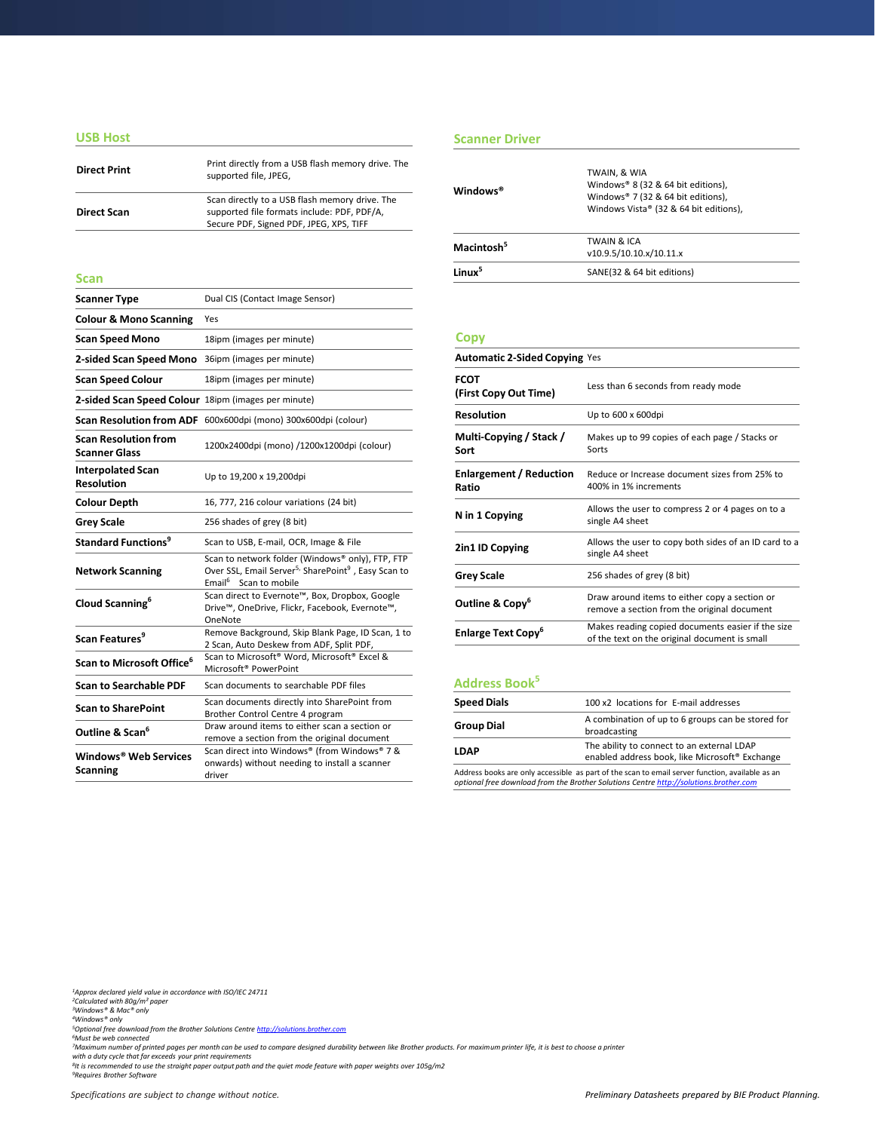### **USB Host**

| <b>Direct Print</b> | Print directly from a USB flash memory drive. The<br>supported file, JPEG,                                                               |
|---------------------|------------------------------------------------------------------------------------------------------------------------------------------|
| <b>Direct Scan</b>  | Scan directly to a USB flash memory drive. The<br>supported file formats include: PDF, PDF/A,<br>Secure PDF, Signed PDF, JPEG, XPS, TIFF |

| <b>Scanner Type</b>                                 | Dual CIS (Contact Image Sensor)                                                                                                                                      |  |
|-----------------------------------------------------|----------------------------------------------------------------------------------------------------------------------------------------------------------------------|--|
| <b>Colour &amp; Mono Scanning</b>                   | Yes                                                                                                                                                                  |  |
| <b>Scan Speed Mono</b>                              | 18ipm (images per minute)                                                                                                                                            |  |
| 2-sided Scan Speed Mono                             | 36ipm (images per minute)                                                                                                                                            |  |
| <b>Scan Speed Colour</b>                            | 18ipm (images per minute)                                                                                                                                            |  |
| 2-sided Scan Speed Colour 18ipm (images per minute) |                                                                                                                                                                      |  |
| <b>Scan Resolution from ADF</b>                     | 600x600dpi (mono) 300x600dpi (colour)                                                                                                                                |  |
| <b>Scan Resolution from</b><br><b>Scanner Glass</b> | 1200x2400dpi (mono) /1200x1200dpi (colour)                                                                                                                           |  |
| <b>Interpolated Scan</b><br><b>Resolution</b>       | Up to 19,200 x 19,200dpi                                                                                                                                             |  |
| <b>Colour Depth</b>                                 | 16, 777, 216 colour variations (24 bit)                                                                                                                              |  |
| <b>Grey Scale</b>                                   | 256 shades of grey (8 bit)                                                                                                                                           |  |
| <b>Standard Functions<sup>9</sup></b>               | Scan to USB, E-mail, OCR, Image & File                                                                                                                               |  |
| <b>Network Scanning</b>                             | Scan to network folder (Windows® only), FTP, FTP<br>Over SSL, Email Server <sup>5,</sup> SharePoint <sup>9</sup> , Easy Scan to<br>Email <sup>6</sup> Scan to mobile |  |
| Cloud Scanning <sup>6</sup>                         | Scan direct to Evernote™, Box, Dropbox, Google<br>Drive™, OneDrive, Flickr, Facebook, Evernote™,<br>OneNote                                                          |  |
| Scan Features <sup>9</sup>                          | Remove Background, Skip Blank Page, ID Scan, 1 to<br>2 Scan, Auto Deskew from ADF, Split PDF,                                                                        |  |
| Scan to Microsoft Office <sup>6</sup>               | Scan to Microsoft <sup>®</sup> Word, Microsoft <sup>®</sup> Excel &<br>Microsoft <sup>®</sup> PowerPoint                                                             |  |
| <b>Scan to Searchable PDF</b>                       | Scan documents to searchable PDF files                                                                                                                               |  |
| <b>Scan to SharePoint</b>                           | Scan documents directly into SharePoint from<br>Brother Control Centre 4 program                                                                                     |  |
| Outline & Scan <sup>6</sup>                         | Draw around items to either scan a section or<br>remove a section from the original document                                                                         |  |
| Windows® Web Services<br><b>Scanning</b>            | Scan direct into Windows® (from Windows® 7 &<br>onwards) without needing to install a scanner<br>driver                                                              |  |

### **Scanner Driver**

| <b>Direct Print</b> | Print directly from a USB flash memory drive. The<br>supported file, JPEG,                                                               |                        | TWAIN, & WIA<br>Windows® 8 (32 & 64 bit editions),                                       |
|---------------------|------------------------------------------------------------------------------------------------------------------------------------------|------------------------|------------------------------------------------------------------------------------------|
| <b>Direct Scan</b>  | Scan directly to a USB flash memory drive. The<br>supported file formats include: PDF, PDF/A,<br>Secure PDF, Signed PDF, JPEG, XPS, TIFF | Windows <sup>®</sup>   | Windows <sup>®</sup> 7 (32 & 64 bit editions),<br>Windows Vista® (32 & 64 bit editions), |
|                     |                                                                                                                                          | Macintosh <sup>5</sup> | <b>TWAIN &amp; ICA</b><br>v10.9.5/10.10.x/10.11.x                                        |
| Scan                |                                                                                                                                          | Linux <sup>5</sup>     | SANE(32 & 64 bit editions)                                                               |
|                     |                                                                                                                                          |                        |                                                                                          |

### **Copy**

| <b>Automatic 2-Sided Copying Yes</b>    |                                                                                                    |  |
|-----------------------------------------|----------------------------------------------------------------------------------------------------|--|
| <b>FCOT</b><br>(First Copy Out Time)    | Less than 6 seconds from ready mode                                                                |  |
| <b>Resolution</b>                       | Up to 600 x 600dpi                                                                                 |  |
| Multi-Copying / Stack /<br>Sort         | Makes up to 99 copies of each page / Stacks or<br>Sorts                                            |  |
| <b>Enlargement / Reduction</b><br>Ratio | Reduce or Increase document sizes from 25% to<br>400% in 1% increments                             |  |
| N in 1 Copying                          | Allows the user to compress 2 or 4 pages on to a<br>single A4 sheet                                |  |
| 2in1 ID Copying                         | Allows the user to copy both sides of an ID card to a<br>single A4 sheet                           |  |
| <b>Grey Scale</b>                       | 256 shades of grey (8 bit)                                                                         |  |
| Outline & Copy <sup>6</sup>             | Draw around items to either copy a section or<br>remove a section from the original document       |  |
| <b>Enlarge Text Copy</b> <sup>o</sup>   | Makes reading copied documents easier if the size<br>of the text on the original document is small |  |

### **Address Book<sup>5</sup>**

| <b>Speed Dials</b> | 100 x2 locations for E-mail addresses                                                        |
|--------------------|----------------------------------------------------------------------------------------------|
| <b>Group Dial</b>  | A combination of up to 6 groups can be stored for<br>broadcasting                            |
| <b>LDAP</b>        | The ability to connect to an external LDAP<br>enabled address book, like Microsoft® Exchange |
|                    |                                                                                              |

Address books are only accessible as part of the scan to email server function, available as an *optional free download from the Brother Solutions Centre [http://solutions.brother.com](http://solutions.brother.com/)*

*<sup>1</sup>Approx declared yield value in accordance with ISO/IEC 24711 <sup>2</sup>Calculated with 80g/m² paper <sup>3</sup>Windows® & Mac® only*

<sup>4</sup>Windows® only<br><sup>5</sup>Optional free download from the Brother Solutions Centre <u>[http://solutions.brother.com](http://solutions.brother.com/)</u><br><sup>5</sup>Must be web connected<br><sup>7</sup>Maximum number of printed pages per month can be used to compare designed durability b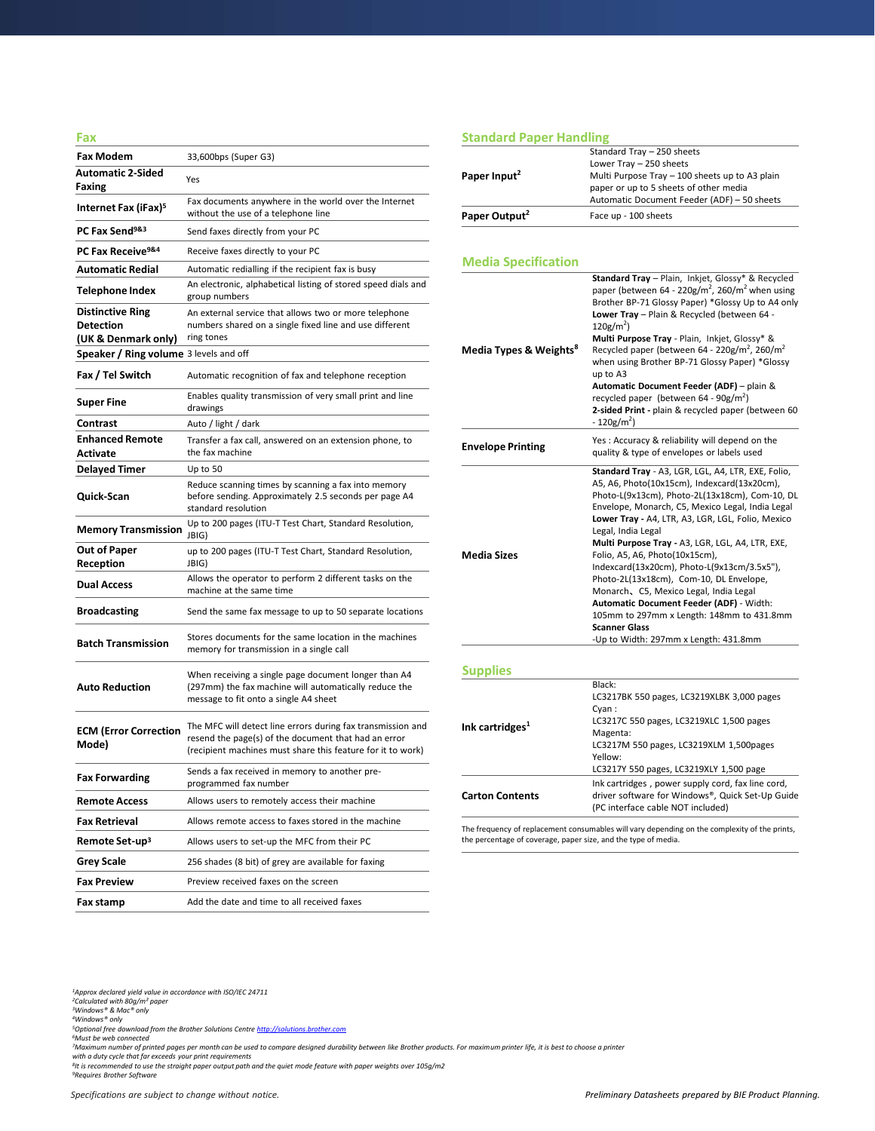| Fax                                         |                                                                                                                                                                                    |
|---------------------------------------------|------------------------------------------------------------------------------------------------------------------------------------------------------------------------------------|
| <b>Fax Modem</b>                            | 33,600bps (Super G3)                                                                                                                                                               |
| <b>Automatic 2-Sided</b><br>Faxing          | Yes                                                                                                                                                                                |
| Internet Fax (iFax) <sup>5</sup>            | Fax documents anywhere in the world over the Internet<br>without the use of a telephone line                                                                                       |
| PC Fax Send <sup>9&amp;3</sup>              | Send faxes directly from your PC                                                                                                                                                   |
| PC Fax Receive <sup>9&amp;4</sup>           | Receive faxes directly to your PC                                                                                                                                                  |
| <b>Automatic Redial</b>                     | Automatic redialling if the recipient fax is busy                                                                                                                                  |
| Telephone Index                             | An electronic, alphabetical listing of stored speed dials and<br>group numbers                                                                                                     |
| <b>Distinctive Ring</b><br><b>Detection</b> | An external service that allows two or more telephone<br>numbers shared on a single fixed line and use different                                                                   |
| (UK & Denmark only)                         | ring tones                                                                                                                                                                         |
| Speaker / Ring volume 3 levels and off      |                                                                                                                                                                                    |
| Fax / Tel Switch                            | Automatic recognition of fax and telephone reception                                                                                                                               |
| <b>Super Fine</b>                           | Enables quality transmission of very small print and line<br>drawings                                                                                                              |
| Contrast                                    | Auto / light / dark                                                                                                                                                                |
| <b>Enhanced Remote</b><br>Activate          | Transfer a fax call, answered on an extension phone, to<br>the fax machine                                                                                                         |
| <b>Delayed Timer</b>                        | Up to 50                                                                                                                                                                           |
| Quick-Scan                                  | Reduce scanning times by scanning a fax into memory<br>before sending. Approximately 2.5 seconds per page A4<br>standard resolution                                                |
| <b>Memory Transmission</b>                  | Up to 200 pages (ITU-T Test Chart, Standard Resolution,<br>JBIG)                                                                                                                   |
| Out of Paper<br>Reception                   | up to 200 pages (ITU-T Test Chart, Standard Resolution,<br>JBIG)                                                                                                                   |
| <b>Dual Access</b>                          | Allows the operator to perform 2 different tasks on the<br>machine at the same time                                                                                                |
| <b>Broadcasting</b>                         | Send the same fax message to up to 50 separate locations                                                                                                                           |
| <b>Batch Transmission</b>                   | Stores documents for the same location in the machines<br>memory for transmission in a single call                                                                                 |
| <b>Auto Reduction</b>                       | When receiving a single page document longer than A4<br>(297mm) the fax machine will automatically reduce the<br>message to fit onto a single A4 sheet                             |
| <b>ECM (Error Correction</b><br>Mode)       | The MFC will detect line errors during fax transmission and<br>resend the page(s) of the document that had an error<br>(recipient machines must share this feature for it to work) |
| <b>Fax Forwarding</b>                       | Sends a fax received in memory to another pre<br>programmed fax number                                                                                                             |
| <b>Remote Access</b>                        | Allows users to remotely access their machine                                                                                                                                      |
| <b>Fax Retrieval</b>                        | Allows remote access to faxes stored in the machine                                                                                                                                |
| Remote Set-up <sup>3</sup>                  | Allows users to set-up the MFC from their PC                                                                                                                                       |
| <b>Grey Scale</b>                           | 256 shades (8 bit) of grey are available for faxing                                                                                                                                |
| <b>Fax Preview</b>                          | Preview received faxes on the screen                                                                                                                                               |
| Fax stamp                                   | Add the date and time to all received faxes                                                                                                                                        |

### **Standard Paper Handling**

|                                    | Standard Tray - 250 sheets                                                                         |
|------------------------------------|----------------------------------------------------------------------------------------------------|
| Paper Input <sup>2</sup>           | Lower Tray - 250 sheets<br>Multi Purpose Tray - 100 sheets up to A3 plain                          |
|                                    | paper or up to 5 sheets of other media                                                             |
|                                    | Automatic Document Feeder (ADF) - 50 sheets                                                        |
| Paper Output <sup>2</sup>          | Face up - 100 sheets                                                                               |
|                                    |                                                                                                    |
| <b>Media Specification</b>         |                                                                                                    |
|                                    | Standard Tray - Plain, Inkjet, Glossy* & Recycled                                                  |
|                                    | paper (between 64 - 220g/m <sup>2</sup> , 260/m <sup>2</sup> when using                            |
|                                    | Brother BP-71 Glossy Paper) *Glossy Up to A4 only                                                  |
|                                    | Lower Tray - Plain & Recycled (between 64 -<br>$120g/m2$ )                                         |
|                                    | Multi Purpose Tray - Plain, Inkjet, Glossy* &                                                      |
| Media Types & Weights <sup>8</sup> | Recycled paper (between 64 - 220g/m <sup>2</sup> , 260/m <sup>2</sup>                              |
|                                    | when using Brother BP-71 Glossy Paper) *Glossy                                                     |
|                                    | up to A3<br>Automatic Document Feeder (ADF) - plain &                                              |
|                                    | recycled paper (between $64 - 90g/m^2$ )                                                           |
|                                    | 2-sided Print - plain & recycled paper (between 60<br>$-120g/m2$ )                                 |
|                                    | Yes: Accuracy & reliability will depend on the                                                     |
| <b>Envelope Printing</b>           | quality & type of envelopes or labels used                                                         |
|                                    | Standard Tray - A3, LGR, LGL, A4, LTR, EXE, Folio,                                                 |
|                                    | A5, A6, Photo(10x15cm), Indexcard(13x20cm),                                                        |
|                                    | Photo-L(9x13cm), Photo-2L(13x18cm), Com-10, DL<br>Envelope, Monarch, C5, Mexico Legal, India Legal |
|                                    | Lower Tray - A4, LTR, A3, LGR, LGL, Folio, Mexico                                                  |
|                                    | Legal, India Legal                                                                                 |
| <b>Media Sizes</b>                 | Multi Purpose Tray - A3, LGR, LGL, A4, LTR, EXE,<br>Folio, A5, A6, Photo(10x15cm),                 |
|                                    | Indexcard(13x20cm), Photo-L(9x13cm/3.5x5"),                                                        |
|                                    | Photo-2L(13x18cm), Com-10, DL Envelope,                                                            |
|                                    | Monarch, C5, Mexico Legal, India Legal                                                             |
|                                    | Automatic Document Feeder (ADF) - Width:<br>105mm to 297mm x Length: 148mm to 431.8mm              |
|                                    | <b>Scanner Glass</b>                                                                               |
|                                    | -Up to Width: 297mm x Length: 431.8mm                                                              |
| <b>Supplies</b>                    |                                                                                                    |
|                                    | Black:                                                                                             |
|                                    | LC3217BK 550 pages, LC3219XLBK 3,000 pages                                                         |
|                                    | Cyan:<br>LC3217C 550 pages, LC3219XLC 1,500 pages                                                  |
| Ink cartridges <sup>1</sup>        | Magenta:                                                                                           |
|                                    | LC3217M 550 pages, LC3219XLM 1,500pages                                                            |
|                                    | Yellow:<br>LC3217Y 550 pages, LC3219XLY 1,500 page                                                 |
|                                    | Ink cartridges, power supply cord, fax line cord,                                                  |
| <b>Carton Contents</b>             | driver software for Windows®, Quick Set-Up Guide                                                   |
|                                    | (PC interface cable NOT included)                                                                  |
|                                    | The frequency of replacement consumables will vary depending on the complexity of the prints,      |

the percentage of coverage, paper size, and the type of media.

<sup>4</sup>Windows® only<br><sup>5</sup>Optional free download from the Brother Solutions Centre <u>[http://solutions.brother.com](http://solutions.brother.com/)</u><br><sup>5</sup>Must be web connected<br><sup>7</sup>Maximum number of printed pages per month can be used to compare designed durability b

*<sup>1</sup>Approx declared yield value in accordance with ISO/IEC 24711 <sup>2</sup>Calculated with 80g/m² paper <sup>3</sup>Windows® & Mac® only*